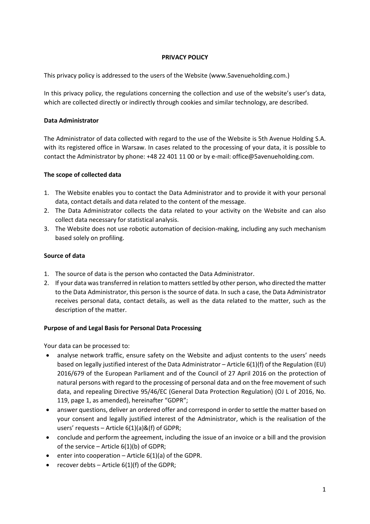## **PRIVACY POLICY**

This privacy policy is addressed to the users of the Website (www.5avenueholding.com.)

In this privacy policy, the regulations concerning the collection and use of the website's user's data, which are collected directly or indirectly through cookies and similar technology, are described.

## **Data Administrator**

The Administrator of data collected with regard to the use of the Website is 5th Avenue Holding S.A. with its registered office in Warsaw. In cases related to the processing of your data, it is possible to contact the Administrator by phone: +48 22 401 11 00 or by e-mail: office@5avenueholding.com.

## **The scope of collected data**

- 1. The Website enables you to contact the Data Administrator and to provide it with your personal data, contact details and data related to the content of the message.
- 2. The Data Administrator collects the data related to your activity on the Website and can also collect data necessary for statistical analysis.
- 3. The Website does not use robotic automation of decision-making, including any such mechanism based solely on profiling.

## **Source of data**

- 1. The source of data is the person who contacted the Data Administrator.
- 2. If your data was transferred in relation to matters settled by other person, who directed the matter to the Data Administrator, this person is the source of data. In such a case, the Data Administrator receives personal data, contact details, as well as the data related to the matter, such as the description of the matter.

#### **Purpose of and Legal Basis for Personal Data Processing**

Your data can be processed to:

- analyse network traffic, ensure safety on the Website and adjust contents to the users' needs based on legally justified interest of the Data Administrator – Article 6(1)(f) of the Regulation (EU) 2016/679 of the European Parliament and of the Council of 27 April 2016 on the protection of natural persons with regard to the processing of personal data and on the free movement of such data, and repealing Directive 95/46/EC (General Data Protection Regulation) (OJ L of 2016, No. 119, page 1, as amended), hereinafter "GDPR";
- answer questions, deliver an ordered offer and correspond in order to settle the matter based on your consent and legally justified interest of the Administrator, which is the realisation of the users' requests – Article 6(1)(a)&(f) of GDPR;
- conclude and perform the agreement, including the issue of an invoice or a bill and the provision of the service – Article  $6(1)(b)$  of GDPR;
- enter into cooperation Article 6(1)(a) of the GDPR.
- recover debts Article  $6(1)(f)$  of the GDPR;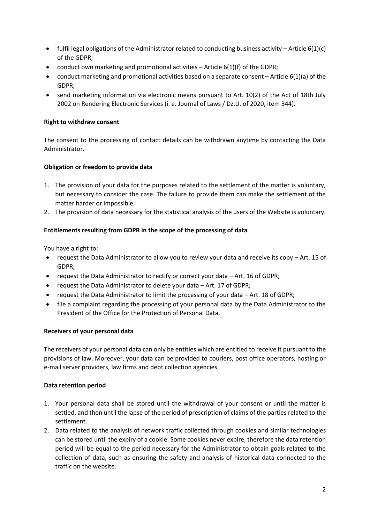- fulfil legal obligations of the Administrator related to conducting business activity Article  $6(1)(c)$ of the GDPR;
- conduct own marketing and promotional activities Article 6(1)(f) of the GDPR;
- conduct marketing and promotional activities based on a separate consent Article 6(1)(a) of the GDPR;
- send marketing information via electronic means pursuant to Art. 10(2) of the Act of 18th July 2002 on Rendering Electronic Services (i. e. Journal of Laws / Dz.U. of 2020, item 344).

# **Right to withdraw consent**

The consent to the processing of contact details can be withdrawn anytime by contacting the Data Administrator.

# **Obligation or freedom to provide data**

- 1. The provision of your data for the purposes related to the settlement of the matter is voluntary, but necessary to consider the case. The failure to provide them can make the settlement of the matter harder or impossible.
- 2. The provision of data necessary for the statistical analysis of the users of the Website is voluntary.

## **Entitlements resulting from GDPR in the scope of the processing of data**

You have a right to:

- request the Data Administrator to allow you to review your data and receive its copy Art. 15 of GDPR;
- request the Data Administrator to rectify or correct your data Art. 16 of GDPR;
- request the Data Administrator to delete your data Art. 17 of GDPR;
- request the Data Administrator to limit the processing of your data Art. 18 of GDPR;
- file a complaint regarding the processing of your personal data by the Data Administrator to the President of the Office for the Protection of Personal Data.

#### **Receivers of your personal data**

The receivers of your personal data can only be entities which are entitled to receive it pursuant to the provisions of law. Moreover, your data can be provided to couriers, post office operators, hosting or e-mail server providers, law firms and debt collection agencies.

#### **Data retention period**

- 1. Your personal data shall be stored until the withdrawal of your consent or until the matter is settled, and then until the lapse of the period of prescription of claims of the parties related to the settlement.
- 2. Data related to the analysis of network traffic collected through cookies and similar technologies can be stored until the expiry of a cookie. Some cookies never expire, therefore the data retention period will be equal to the period necessary for the Administrator to obtain goals related to the collection of data, such as ensuring the safety and analysis of historical data connected to the traffic on the website.